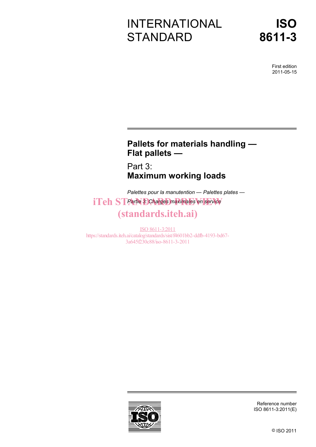# INTERNATIONAL **STANDARD**

First edition 2011-05-15

# **Pallets for materials handling — Flat pallets —**

Part 3: **Maximum working loads** 

*Palettes pour la manutention — Palettes plates*   $i**Teh**$  ST Partie 3: Charges maximales en service

# (standards.iteh.ai)

ISO 8611-3:2011 https://standards.iteh.ai/catalog/standards/sist/f4601bb2-ddfb-4193-bd67- 3a645f230c88/iso-8611-3-2011



Reference number ISO 8611-3:2011(E)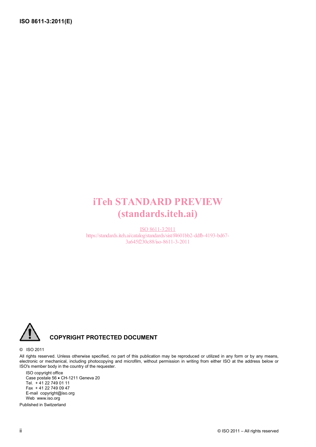# iTeh STANDARD PREVIEW (standards.iteh.ai)

ISO 8611-3:2011 https://standards.iteh.ai/catalog/standards/sist/f4601bb2-ddfb-4193-bd67- 3a645f230c88/iso-8611-3-2011



## **COPYRIGHT PROTECTED DOCUMENT**

#### © ISO 2011

All rights reserved. Unless otherwise specified, no part of this publication may be reproduced or utilized in any form or by any means, electronic or mechanical, including photocopying and microfilm, without permission in writing from either ISO at the address below or ISO's member body in the country of the requester.

ISO copyright office Case postale 56 • CH-1211 Geneva 20 Tel. + 41 22 749 01 11 Fax + 41 22 749 09 47 E-mail copyright@iso.org Web www.iso.org

Published in Switzerland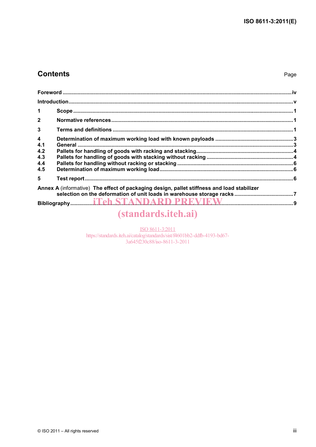## **Contents**

| $\blacktriangleleft$                                       |                                                                                                                                                                                                                                                                                                                                                                                                                 |  |
|------------------------------------------------------------|-----------------------------------------------------------------------------------------------------------------------------------------------------------------------------------------------------------------------------------------------------------------------------------------------------------------------------------------------------------------------------------------------------------------|--|
| $\overline{2}$                                             |                                                                                                                                                                                                                                                                                                                                                                                                                 |  |
| 3                                                          |                                                                                                                                                                                                                                                                                                                                                                                                                 |  |
| $\overline{\mathbf{4}}$<br>4.1<br>4.2<br>4.3<br>4.4<br>4.5 |                                                                                                                                                                                                                                                                                                                                                                                                                 |  |
| 5                                                          |                                                                                                                                                                                                                                                                                                                                                                                                                 |  |
|                                                            | Annex A (informative) The effect of packaging design, pallet stiffness and load stabilizer<br>$\mathcal{L}$ and $\mathcal{L}$ and $\mathcal{L}$ and $\mathcal{L}$ and $\mathcal{L}$ and $\mathcal{L}$ and $\mathcal{L}$ and $\mathcal{L}$ and $\mathcal{L}$ and $\mathcal{L}$ and $\mathcal{L}$ and $\mathcal{L}$ and $\mathcal{L}$ and $\mathcal{L}$ and $\mathcal{L}$ and $\mathcal{L}$ and $\mathcal{L}$ and |  |

# (standards.iteh.ai)

ISO 8611-3:2011 https://standards.iteh.ai/catalog/standards/sist/f4601bb2-ddfb-4193-bd67-3a645f230c88/iso-8611-3-2011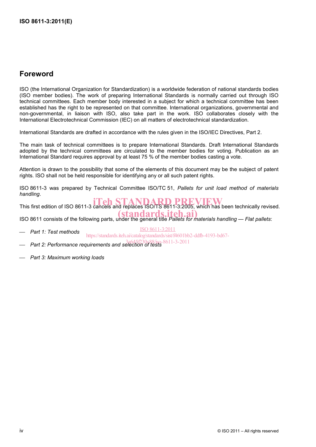## **Foreword**

ISO (the International Organization for Standardization) is a worldwide federation of national standards bodies (ISO member bodies). The work of preparing International Standards is normally carried out through ISO technical committees. Each member body interested in a subject for which a technical committee has been established has the right to be represented on that committee. International organizations, governmental and non-governmental, in liaison with ISO, also take part in the work. ISO collaborates closely with the International Electrotechnical Commission (IEC) on all matters of electrotechnical standardization.

International Standards are drafted in accordance with the rules given in the ISO/IEC Directives, Part 2.

The main task of technical committees is to prepare International Standards. Draft International Standards adopted by the technical committees are circulated to the member bodies for voting. Publication as an International Standard requires approval by at least 75 % of the member bodies casting a vote.

Attention is drawn to the possibility that some of the elements of this document may be the subject of patent rights. ISO shall not be held responsible for identifying any or all such patent rights.

ISO 8611-3 was prepared by Technical Committee ISO/TC 51, *Pallets for unit load method of materials handling*.

THIS first edition of ISO 8611-3 cancels and replaces ISO/TS 8611-3:2005, which has been technically revised.

ISO 8611 consists of the following parts, under the general title *Pallets for materials handling — Flat pallets*: standards.iteh

⎯ *Part 1: Test methods* 

ISO 8611-3:2011

https://standards.iteh.ai/catalog/standards/sist/f4601bb2-ddfb-4193-bd67-

- ⎯ *Part 2: Performance requirements and selection of tests*  3a645f230c88/iso-8611-3-2011
- ⎯ *Part 3: Maximum working loads*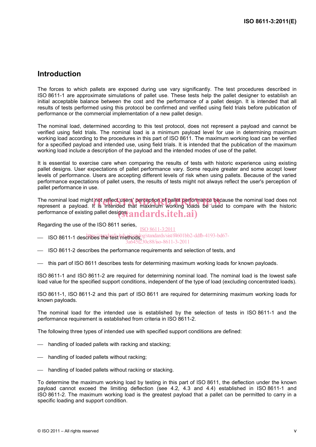## **Introduction**

The forces to which pallets are exposed during use vary significantly. The test procedures described in ISO 8611-1 are approximate simulations of pallet use. These tests help the pallet designer to establish an initial acceptable balance between the cost and the performance of a pallet design. It is intended that all results of tests performed using this protocol be confirmed and verified using field trials before publication of performance or the commercial implementation of a new pallet design.

The nominal load, determined according to this test protocol, does not represent a payload and cannot be verified using field trials. The nominal load is a minimum payload level for use in determining maximum working load according to the procedures in this part of ISO 8611. The maximum working load can be verified for a specified payload and intended use, using field trials. It is intended that the publication of the maximum working load include a description of the payload and the intended modes of use of the pallet.

It is essential to exercise care when comparing the results of tests with historic experience using existing pallet designs. User expectations of pallet performance vary. Some require greater and some accept lower levels of performance. Users are accepting different levels of risk when using pallets. Because of the varied performance expectations of pallet users, the results of tests might not always reflect the user's perception of pallet performance in use.

The nominal load might not reflect users' perception of pallet performance because the nominal load does not<br>represent a pavload. It is intended that maximum working loads be used to compare with the historic represent a payload. It is intended that maximum working loads be used to compare with the historic performance of existing pallet designst  $\bm{andards}.\textit{iteh}.\bm{ai})$ 

Regarding the use of the ISO 8611 series, ISO 8611-3:2011

- ISO 8611-1 describes the test methods, essendards/sist/f4601bb2-ddfb-4193-bd67-

3a645f230c88/iso-8611-3-2011

- ISO 8611-2 describes the performance requirements and selection of tests, and
- $-$  this part of ISO 8611 describes tests for determining maximum working loads for known payloads.

ISO 8611-1 and ISO 8611-2 are required for determining nominal load. The nominal load is the lowest safe load value for the specified support conditions, independent of the type of load (excluding concentrated loads).

ISO 8611-1, ISO 8611-2 and this part of ISO 8611 are required for determining maximum working loads for known payloads.

The nominal load for the intended use is established by the selection of tests in ISO 8611-1 and the performance requirement is established from criteria in ISO 8611-2.

The following three types of intended use with specified support conditions are defined:

- handling of loaded pallets with racking and stacking;
- handling of loaded pallets without racking;
- handling of loaded pallets without racking or stacking.

To determine the maximum working load by testing in this part of ISO 8611, the deflection under the known payload cannot exceed the limiting deflection (see 4.2, 4.3 and 4.4) established in ISO 8611-1 and ISO 8611-2. The maximum working load is the greatest payload that a pallet can be permitted to carry in a specific loading and support condition.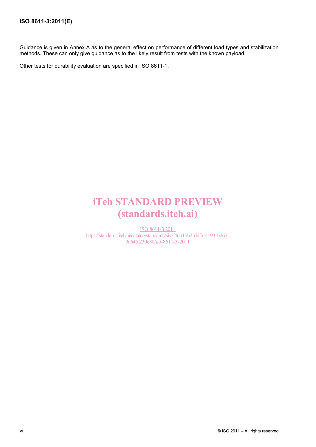Guidance is given in Annex A as to the general effect on performance of different load types and stabilization methods. These can only give guidance as to the likely result from tests with the known payload.

Other tests for durability evaluation are specified in ISO 8611-1.

# iTeh STANDARD PREVIEW (standards.iteh.ai)

ISO 8611-3:2011 https://standards.iteh.ai/catalog/standards/sist/f4601bb2-ddfb-4193-bd67- 3a645f230c88/iso-8611-3-2011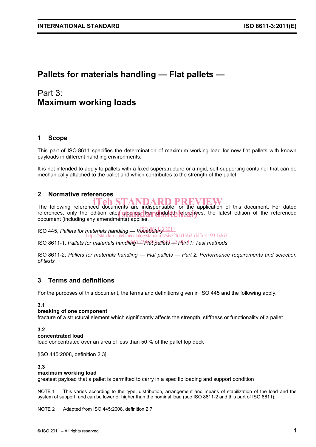# **Pallets for materials handling — Flat pallets —**

# Part 3: **Maximum working loads**

### **1 Scope**

This part of ISO 8611 specifies the determination of maximum working load for new flat pallets with known payloads in different handling environments.

It is not intended to apply to pallets with a fixed superstructure or a rigid, self-supporting container that can be mechanically attached to the pallet and which contributes to the strength of the pallet.

### **2 Normative references**

# The following referenced documents are indispensable for the application of this document. For dated

references, only the edition cited applies. For undated references, the latest edition of the referenced document (including any amendments) applies. document (including any amendments) applies.

ISO 445, *Pallets for materials handling* — Vocabulary<sup>3:2011</sup> https://standards.iteh.ai/catalog/standards/sist/f4601bb2-ddfb-4193-bd67-

ISO 8611-1, *Pallets for materials handling 123 Plat pallets*  $\frac{1-3}{P}$ *ah*<sup>1</sup>1: Test methods

ISO 8611-2, *Pallets for materials handling — Flat pallets — Part 2: Performance requirements and selection of tests*

#### **3 Terms and definitions**

For the purposes of this document, the terms and definitions given in ISO 445 and the following apply.

#### **3.1**

#### **breaking of one component**

fracture of a structural element which significantly affects the strength, stiffness or functionality of a pallet

#### **3.2**

#### **concentrated load**

load concentrated over an area of less than 50 % of the pallet top deck

[ISO 445:2008, definition 2.3]

#### **3.3**

#### **maximum working load**

greatest payload that a pallet is permitted to carry in a specific loading and support condition

NOTE 1 This varies according to the type, distribution, arrangement and means of stabilization of the load and the system of support, and can be lower or higher than the nominal load (see ISO 8611-2 and this part of ISO 8611).

NOTE 2 Adapted from ISO 445:2008, definition 2.7.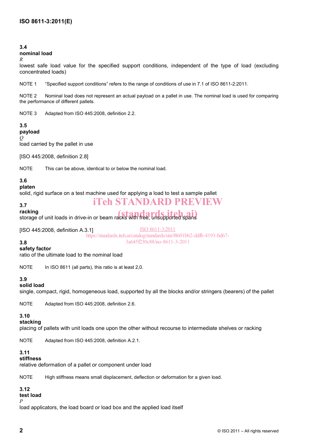#### **3.4**

#### **nominal load**

*R*

lowest safe load value for the specified support conditions, independent of the type of load (excluding concentrated loads)

NOTE 1 "Specified support conditions" refers to the range of conditions of use in 7.1 of ISO 8611-2:2011.

NOTE 2 Nominal load does not represent an actual payload on a pallet in use. The nominal load is used for comparing the performance of different pallets.

NOTE 3 Adapted from ISO 445:2008, definition 2.2.

#### **3.5 payload**

*Q*

load carried by the pallet in use

[ISO 445:2008, definition 2.8]

NOTE This can be above, identical to or below the nominal load.

### **3.6**

#### **platen**

solid, rigid surface on a test machine used for applying a load to test a sample pallet

# iTeh STANDARD PREVIEW

# **3.7**

**racking**  racking<br>storage of unit loads in drive-in or beam racks with free, unsupported spans

[ISO 445:2008, definition A.3.1]

ISO 8611-3:2011 https://standards.iteh.ai/catalog/standards/sist/f4601bb2-ddfb-4193-bd67- 3a645f230c88/iso-8611-3-2011

## **3.8**

**safety factor** 

ratio of the ultimate load to the nominal load

NOTE In ISO 8611 (all parts), this ratio is at least 2,0.

#### **3.9**

#### **solid load**

single, compact, rigid, homogeneous load, supported by all the blocks and/or stringers (bearers) of the pallet

NOTE Adapted from ISO 445:2008, definition 2.6.

### **3.10**

**stacking** 

placing of pallets with unit loads one upon the other without recourse to intermediate shelves or racking

NOTE Adapted from ISO 445:2008, definition A.2.1.

#### **3.11**

**stiffness** 

relative deformation of a pallet or component under load

NOTE High stiffness means small displacement, deflection or deformation for a given load.

## **3.12**

**test load** 

*P*

load applicators, the load board or load box and the applied load itself